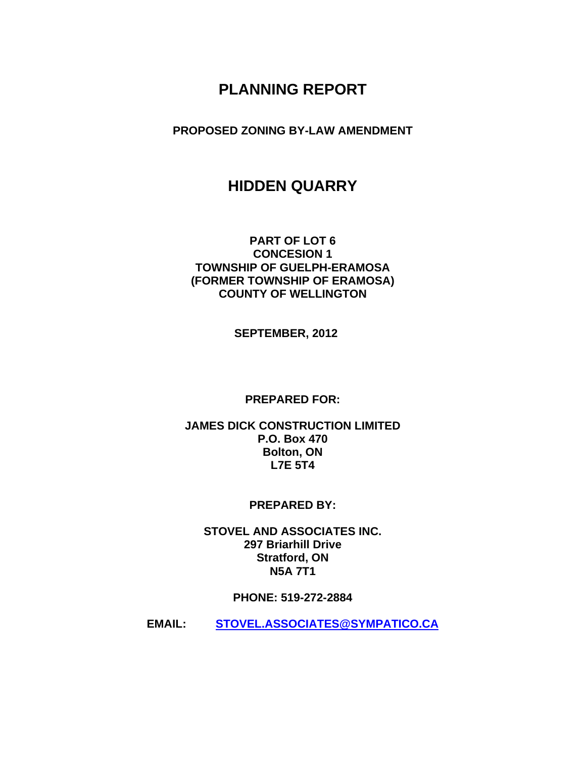# **PLANNING REPORT**

**PROPOSED ZONING BY-LAW AMENDMENT** 

# **HIDDEN QUARRY**

#### **PART OF LOT 6 CONCESION 1 TOWNSHIP OF GUELPH-ERAMOSA (FORMER TOWNSHIP OF ERAMOSA) COUNTY OF WELLINGTON**

**SEPTEMBER, 2012** 

#### **PREPARED FOR:**

#### **JAMES DICK CONSTRUCTION LIMITED P.O. Box 470 Bolton, ON L7E 5T4**

#### **PREPARED BY:**

**STOVEL AND ASSOCIATES INC. 297 Briarhill Drive Stratford, ON N5A 7T1** 

#### **PHONE: 519-272-2884**

**EMAIL: [STOVEL.ASSOCIATES@SYMPATICO.CA](mailto:STOVEL.ASSOCIATES@SYMPATICO.CA)**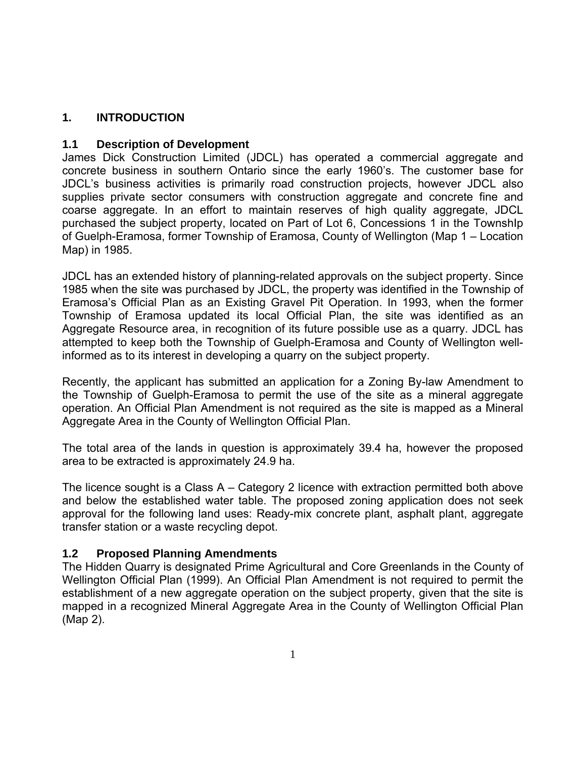# **1. INTRODUCTION**

#### **1.1 Description of Development**

James Dick Construction Limited (JDCL) has operated a commercial aggregate and concrete business in southern Ontario since the early 1960's. The customer base for JDCL's business activities is primarily road construction projects, however JDCL also supplies private sector consumers with construction aggregate and concrete fine and coarse aggregate. In an effort to maintain reserves of high quality aggregate, JDCL purchased the subject property, located on Part of Lot 6, Concessions 1 in the TownshIp of Guelph-Eramosa, former Township of Eramosa, County of Wellington (Map 1 – Location Map) in 1985.

JDCL has an extended history of planning-related approvals on the subject property. Since 1985 when the site was purchased by JDCL, the property was identified in the Township of Eramosa's Official Plan as an Existing Gravel Pit Operation. In 1993, when the former Township of Eramosa updated its local Official Plan, the site was identified as an Aggregate Resource area, in recognition of its future possible use as a quarry. JDCL has attempted to keep both the Township of Guelph-Eramosa and County of Wellington wellinformed as to its interest in developing a quarry on the subject property.

Recently, the applicant has submitted an application for a Zoning By-law Amendment to the Township of Guelph-Eramosa to permit the use of the site as a mineral aggregate operation. An Official Plan Amendment is not required as the site is mapped as a Mineral Aggregate Area in the County of Wellington Official Plan.

The total area of the lands in question is approximately 39.4 ha, however the proposed area to be extracted is approximately 24.9 ha.

The licence sought is a Class A – Category 2 licence with extraction permitted both above and below the established water table. The proposed zoning application does not seek approval for the following land uses: Ready-mix concrete plant, asphalt plant, aggregate transfer station or a waste recycling depot.

#### **1.2 Proposed Planning Amendments**

The Hidden Quarry is designated Prime Agricultural and Core Greenlands in the County of Wellington Official Plan (1999). An Official Plan Amendment is not required to permit the establishment of a new aggregate operation on the subject property, given that the site is mapped in a recognized Mineral Aggregate Area in the County of Wellington Official Plan (Map 2).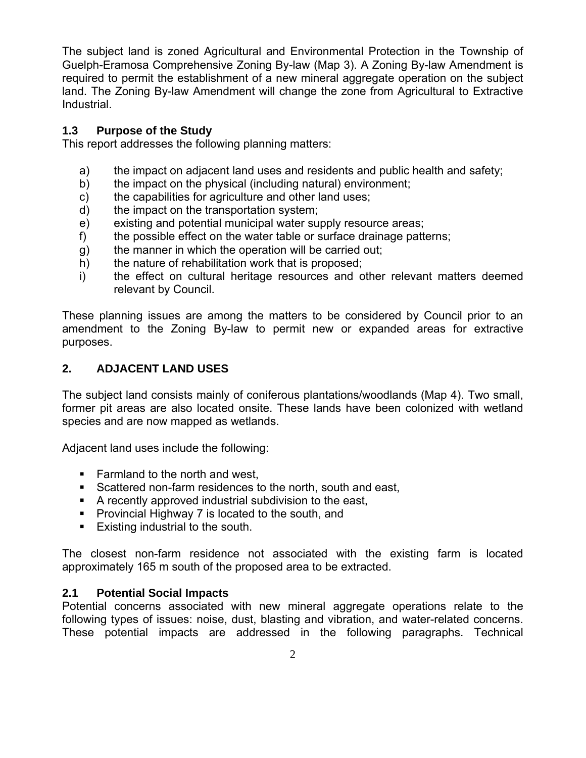The subject land is zoned Agricultural and Environmental Protection in the Township of Guelph-Eramosa Comprehensive Zoning By-law (Map 3). A Zoning By-law Amendment is required to permit the establishment of a new mineral aggregate operation on the subject land. The Zoning By-law Amendment will change the zone from Agricultural to Extractive Industrial.

## **1.3 Purpose of the Study**

This report addresses the following planning matters:

- a) the impact on adjacent land uses and residents and public health and safety;
- b) the impact on the physical (including natural) environment;
- c) the capabilities for agriculture and other land uses;
- d) the impact on the transportation system;
- e) existing and potential municipal water supply resource areas;
- f) the possible effect on the water table or surface drainage patterns;
- g) the manner in which the operation will be carried out;
- h) the nature of rehabilitation work that is proposed;
- i) the effect on cultural heritage resources and other relevant matters deemed relevant by Council.

These planning issues are among the matters to be considered by Council prior to an amendment to the Zoning By-law to permit new or expanded areas for extractive purposes.

# **2. ADJACENT LAND USES**

The subject land consists mainly of coniferous plantations/woodlands (Map 4). Two small, former pit areas are also located onsite. These lands have been colonized with wetland species and are now mapped as wetlands.

Adjacent land uses include the following:

- Farmland to the north and west,
- Scattered non-farm residences to the north, south and east,
- A recently approved industrial subdivision to the east,
- **Provincial Highway 7 is located to the south, and**
- Existing industrial to the south.

The closest non-farm residence not associated with the existing farm is located approximately 165 m south of the proposed area to be extracted.

#### **2.1 Potential Social Impacts**

Potential concerns associated with new mineral aggregate operations relate to the following types of issues: noise, dust, blasting and vibration, and water-related concerns. These potential impacts are addressed in the following paragraphs. Technical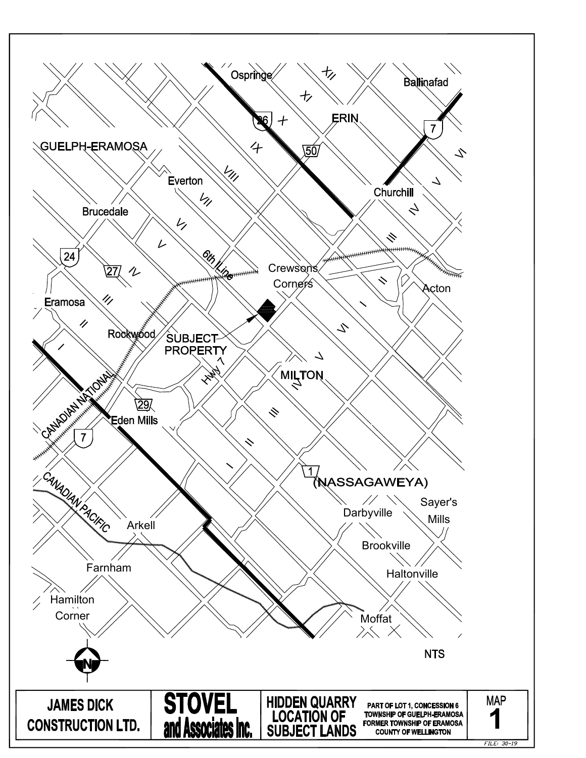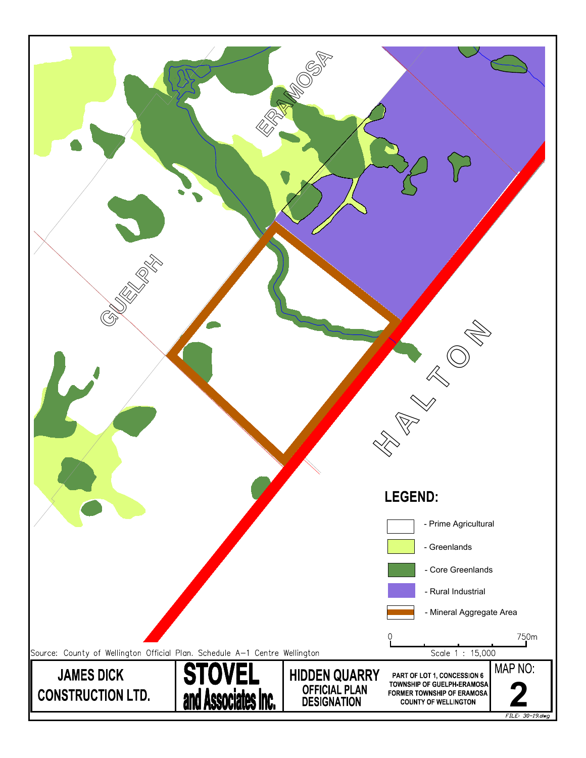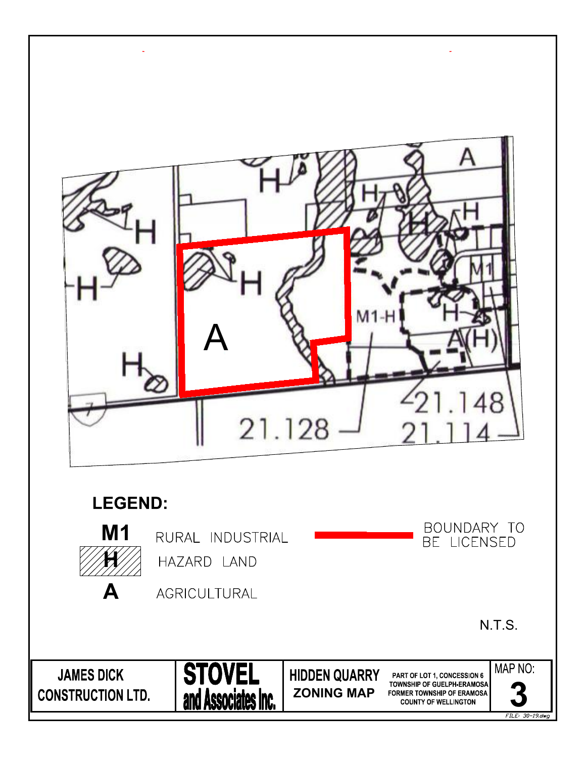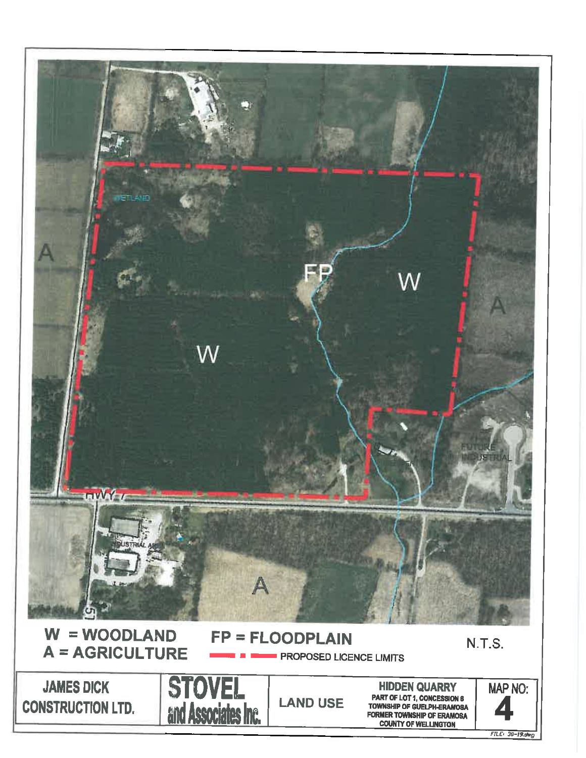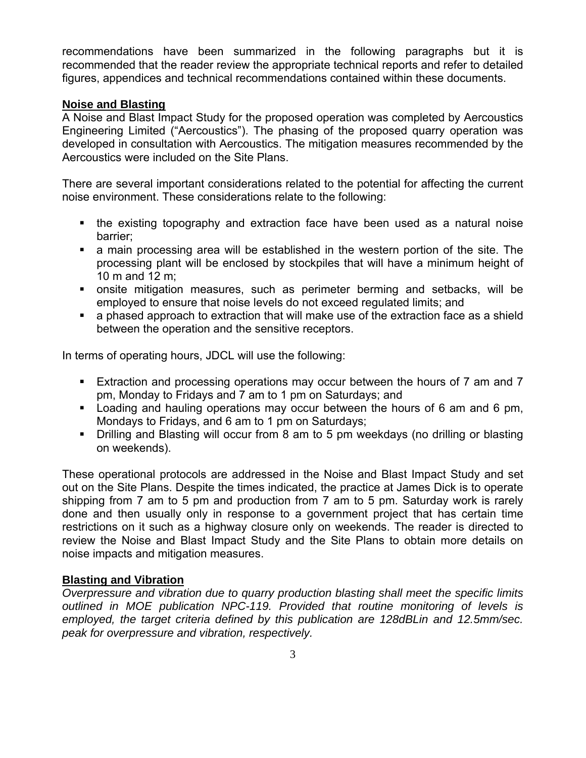recommendations have been summarized in the following paragraphs but it is recommended that the reader review the appropriate technical reports and refer to detailed figures, appendices and technical recommendations contained within these documents.

#### **Noise and Blasting**

A Noise and Blast Impact Study for the proposed operation was completed by Aercoustics Engineering Limited ("Aercoustics"). The phasing of the proposed quarry operation was developed in consultation with Aercoustics. The mitigation measures recommended by the Aercoustics were included on the Site Plans.

There are several important considerations related to the potential for affecting the current noise environment. These considerations relate to the following:

- the existing topography and extraction face have been used as a natural noise barrier;
- a main processing area will be established in the western portion of the site. The processing plant will be enclosed by stockpiles that will have a minimum height of 10 m and 12 m;
- onsite mitigation measures, such as perimeter berming and setbacks, will be employed to ensure that noise levels do not exceed regulated limits; and
- a phased approach to extraction that will make use of the extraction face as a shield between the operation and the sensitive receptors.

In terms of operating hours, JDCL will use the following:

- Extraction and processing operations may occur between the hours of 7 am and 7 pm, Monday to Fridays and 7 am to 1 pm on Saturdays; and
- Loading and hauling operations may occur between the hours of 6 am and 6 pm, Mondays to Fridays, and 6 am to 1 pm on Saturdays;
- Drilling and Blasting will occur from 8 am to 5 pm weekdays (no drilling or blasting on weekends).

These operational protocols are addressed in the Noise and Blast Impact Study and set out on the Site Plans. Despite the times indicated, the practice at James Dick is to operate shipping from 7 am to 5 pm and production from 7 am to 5 pm. Saturday work is rarely done and then usually only in response to a government project that has certain time restrictions on it such as a highway closure only on weekends. The reader is directed to review the Noise and Blast Impact Study and the Site Plans to obtain more details on noise impacts and mitigation measures.

#### **Blasting and Vibration**

*Overpressure and vibration due to quarry production blasting shall meet the specific limits outlined in MOE publication NPC-119. Provided that routine monitoring of levels is employed, the target criteria defined by this publication are 128dBLin and 12.5mm/sec. peak for overpressure and vibration, respectively.*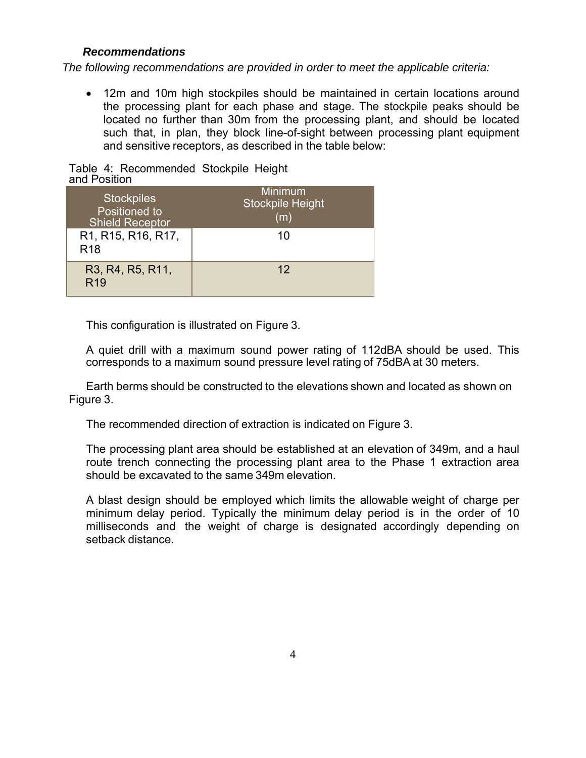#### *Recommendations*

*The following recommendations are provided in order to meet the applicable criteria:* 

 12m and 10m high stockpiles should be maintained in certain locations around the processing plant for each phase and stage. The stockpile peaks should be located no further than 30m from the processing plant, and should be located such that, in plan, they block line-of-sight between processing plant equipment and sensitive receptors, as described in the table below:

Table 4: Recommended Stockpile Height and Position

| unu roomon                                                                                |                                           |
|-------------------------------------------------------------------------------------------|-------------------------------------------|
| <b>Stockpiles</b><br>Positioned to<br><b>Shield Receptor</b>                              | Minimum<br><b>Stockpile Height</b><br>(m) |
| R <sub>1</sub> , R <sub>15</sub> , R <sub>16</sub> , R <sub>17</sub> ,<br>R <sub>18</sub> | 10                                        |
| R3, R4, R5, R11,<br>R <sub>19</sub>                                                       | 12                                        |

This configuration is illustrated on Figure 3.

 A quiet drill with a maximum sound power rating of 112dBA should be used. This corresponds to a maximum sound pressure level rating of 75dBA at 30 meters.

 Earth berms should be constructed to the elevations shown and located as shown on Figure 3.

The recommended direction of extraction is indicated on Figure 3.

 The processing plant area should be established at an elevation of 349m, and a haul route trench connecting the processing plant area to the Phase 1 extraction area should be excavated to the same 349m elevation.

 A blast design should be employed which limits the allowable weight of charge per minimum delay period. Typically the minimum delay period is in the order of 10 milliseconds and the weight of charge is designated accordingly depending on setback distance.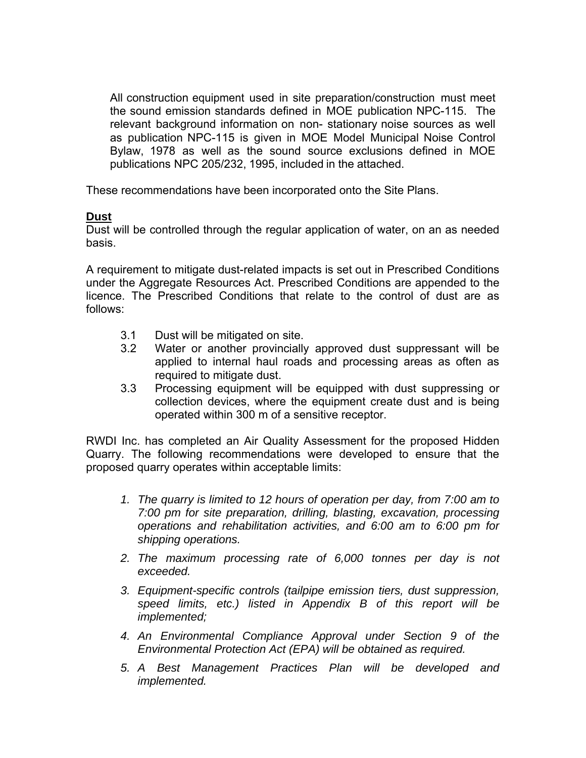All construction equipment used in site preparation/construction must meet the sound emission standards defined in MOE publication NPC-115. The relevant background information on non- stationary noise sources as well as publication NPC-115 is given in MOE Model Municipal Noise Control Bylaw, 1978 as well as the sound source exclusions defined in MOE publications NPC 205/232, 1995, included in the attached.

These recommendations have been incorporated onto the Site Plans.

## **Dust**

Dust will be controlled through the regular application of water, on an as needed basis.

A requirement to mitigate dust-related impacts is set out in Prescribed Conditions under the Aggregate Resources Act. Prescribed Conditions are appended to the licence. The Prescribed Conditions that relate to the control of dust are as follows:

- 3.1 Dust will be mitigated on site.
- 3.2 Water or another provincially approved dust suppressant will be applied to internal haul roads and processing areas as often as required to mitigate dust.
- 3.3 Processing equipment will be equipped with dust suppressing or collection devices, where the equipment create dust and is being operated within 300 m of a sensitive receptor.

RWDI Inc. has completed an Air Quality Assessment for the proposed Hidden Quarry. The following recommendations were developed to ensure that the proposed quarry operates within acceptable limits:

- *1. The quarry is limited to 12 hours of operation per day, from 7:00 am to 7:00 pm for site preparation, drilling, blasting, excavation, processing operations and rehabilitation activities, and 6:00 am to 6:00 pm for shipping operations.*
- *2. The maximum processing rate of 6,000 tonnes per day is not exceeded.*
- *3. Equipment-specific controls (tailpipe emission tiers, dust suppression, speed limits, etc.) listed in Appendix B of this report will be implemented;*
- *4. An Environmental Compliance Approval under Section 9 of the Environmental Protection Act (EPA) will be obtained as required.*
- *5. A Best Management Practices Plan will be developed and implemented.*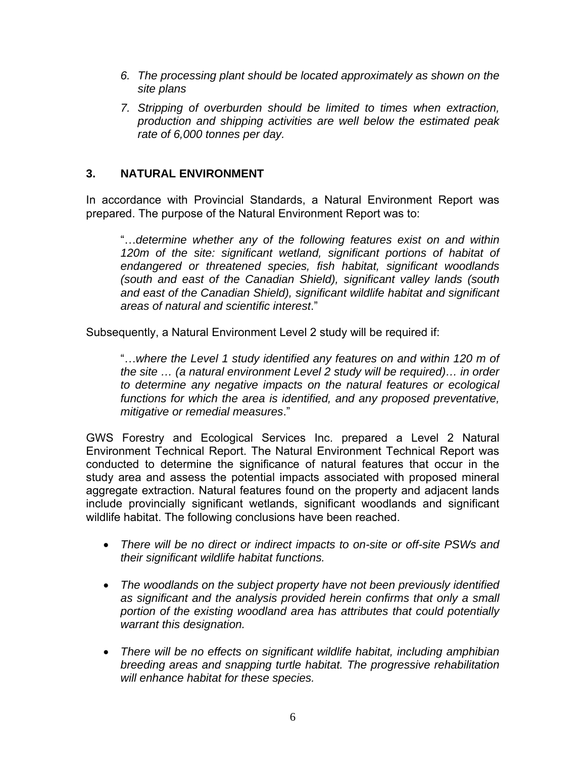- *6. The processing plant should be located approximately as shown on the site plans*
- *7. Stripping of overburden should be limited to times when extraction, production and shipping activities are well below the estimated peak rate of 6,000 tonnes per day.*

# **3. NATURAL ENVIRONMENT**

In accordance with Provincial Standards, a Natural Environment Report was prepared. The purpose of the Natural Environment Report was to:

"…*determine whether any of the following features exist on and within*  120m of the site: significant wetland, significant portions of habitat of *endangered or threatened species, fish habitat, significant woodlands (south and east of the Canadian Shield), significant valley lands (south and east of the Canadian Shield), significant wildlife habitat and significant areas of natural and scientific interest*."

Subsequently, a Natural Environment Level 2 study will be required if:

"…*where the Level 1 study identified any features on and within 120 m of the site … (a natural environment Level 2 study will be required)… in order to determine any negative impacts on the natural features or ecological functions for which the area is identified, and any proposed preventative, mitigative or remedial measures*."

GWS Forestry and Ecological Services Inc. prepared a Level 2 Natural Environment Technical Report. The Natural Environment Technical Report was conducted to determine the significance of natural features that occur in the study area and assess the potential impacts associated with proposed mineral aggregate extraction. Natural features found on the property and adjacent lands include provincially significant wetlands, significant woodlands and significant wildlife habitat. The following conclusions have been reached.

- *There will be no direct or indirect impacts to on-site or off-site PSWs and their significant wildlife habitat functions.*
- *The woodlands on the subject property have not been previously identified as significant and the analysis provided herein confirms that only a small portion of the existing woodland area has attributes that could potentially warrant this designation.*
- *There will be no effects on significant wildlife habitat, including amphibian breeding areas and snapping turtle habitat. The progressive rehabilitation will enhance habitat for these species.*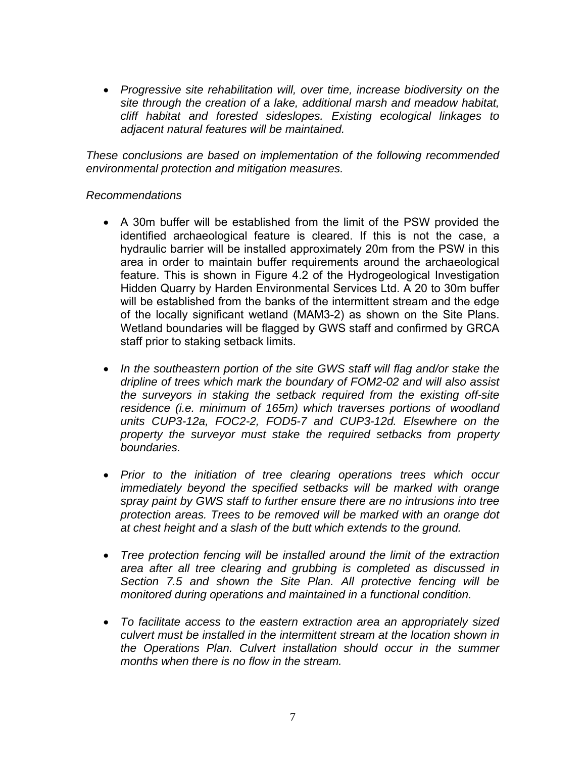*Progressive site rehabilitation will, over time, increase biodiversity on the site through the creation of a lake, additional marsh and meadow habitat, cliff habitat and forested sideslopes. Existing ecological linkages to adjacent natural features will be maintained.* 

*These conclusions are based on implementation of the following recommended environmental protection and mitigation measures.* 

#### *Recommendations*

- A 30m buffer will be established from the limit of the PSW provided the identified archaeological feature is cleared. If this is not the case, a hydraulic barrier will be installed approximately 20m from the PSW in this area in order to maintain buffer requirements around the archaeological feature. This is shown in Figure 4.2 of the Hydrogeological Investigation Hidden Quarry by Harden Environmental Services Ltd. A 20 to 30m buffer will be established from the banks of the intermittent stream and the edge of the locally significant wetland (MAM3-2) as shown on the Site Plans. Wetland boundaries will be flagged by GWS staff and confirmed by GRCA staff prior to staking setback limits.
- In the southeastern portion of the site GWS staff will flag and/or stake the *dripline of trees which mark the boundary of FOM2-02 and will also assist the surveyors in staking the setback required from the existing off-site residence (i.e. minimum of 165m) which traverses portions of woodland units CUP3-12a, FOC2-2, FOD5-7 and CUP3-12d. Elsewhere on the property the surveyor must stake the required setbacks from property boundaries.*
- *Prior to the initiation of tree clearing operations trees which occur immediately beyond the specified setbacks will be marked with orange spray paint by GWS staff to further ensure there are no intrusions into tree protection areas. Trees to be removed will be marked with an orange dot at chest height and a slash of the butt which extends to the ground.*
- *Tree protection fencing will be installed around the limit of the extraction area after all tree clearing and grubbing is completed as discussed in Section 7.5 and shown the Site Plan. All protective fencing will be monitored during operations and maintained in a functional condition.*
- *To facilitate access to the eastern extraction area an appropriately sized culvert must be installed in the intermittent stream at the location shown in the Operations Plan. Culvert installation should occur in the summer months when there is no flow in the stream.*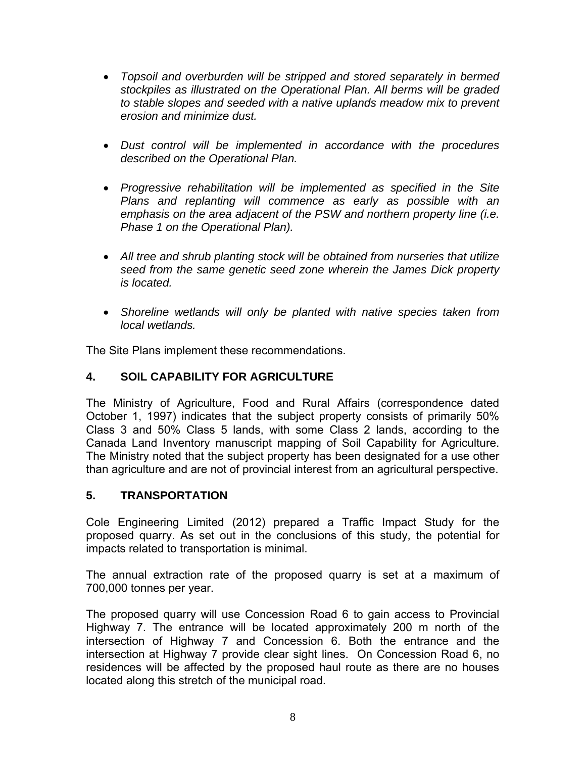- *Topsoil and overburden will be stripped and stored separately in bermed stockpiles as illustrated on the Operational Plan. All berms will be graded to stable slopes and seeded with a native uplands meadow mix to prevent erosion and minimize dust.*
- *Dust control will be implemented in accordance with the procedures described on the Operational Plan.*
- *Progressive rehabilitation will be implemented as specified in the Site Plans and replanting will commence as early as possible with an emphasis on the area adjacent of the PSW and northern property line (i.e. Phase 1 on the Operational Plan).*
- *All tree and shrub planting stock will be obtained from nurseries that utilize seed from the same genetic seed zone wherein the James Dick property is located.*
- *Shoreline wetlands will only be planted with native species taken from local wetlands.*

The Site Plans implement these recommendations.

# **4. SOIL CAPABILITY FOR AGRICULTURE**

The Ministry of Agriculture, Food and Rural Affairs (correspondence dated October 1, 1997) indicates that the subject property consists of primarily 50% Class 3 and 50% Class 5 lands, with some Class 2 lands, according to the Canada Land Inventory manuscript mapping of Soil Capability for Agriculture. The Ministry noted that the subject property has been designated for a use other than agriculture and are not of provincial interest from an agricultural perspective.

# **5. TRANSPORTATION**

Cole Engineering Limited (2012) prepared a Traffic Impact Study for the proposed quarry. As set out in the conclusions of this study, the potential for impacts related to transportation is minimal.

The annual extraction rate of the proposed quarry is set at a maximum of 700,000 tonnes per year.

The proposed quarry will use Concession Road 6 to gain access to Provincial Highway 7. The entrance will be located approximately 200 m north of the intersection of Highway 7 and Concession 6. Both the entrance and the intersection at Highway 7 provide clear sight lines. On Concession Road 6, no residences will be affected by the proposed haul route as there are no houses located along this stretch of the municipal road.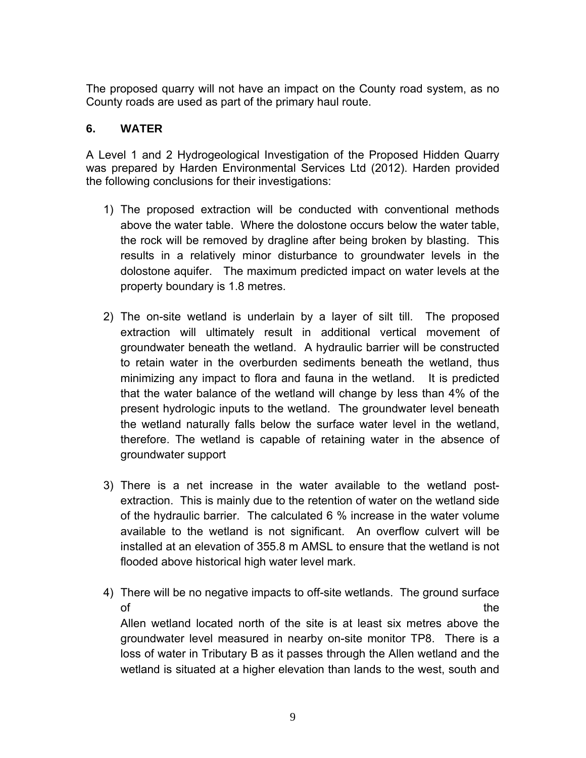The proposed quarry will not have an impact on the County road system, as no County roads are used as part of the primary haul route.

# **6. WATER**

A Level 1 and 2 Hydrogeological Investigation of the Proposed Hidden Quarry was prepared by Harden Environmental Services Ltd (2012). Harden provided the following conclusions for their investigations:

- 1) The proposed extraction will be conducted with conventional methods above the water table. Where the dolostone occurs below the water table, the rock will be removed by dragline after being broken by blasting. This results in a relatively minor disturbance to groundwater levels in the dolostone aquifer. The maximum predicted impact on water levels at the property boundary is 1.8 metres.
- 2) The on-site wetland is underlain by a layer of silt till. The proposed extraction will ultimately result in additional vertical movement of groundwater beneath the wetland. A hydraulic barrier will be constructed to retain water in the overburden sediments beneath the wetland, thus minimizing any impact to flora and fauna in the wetland. It is predicted that the water balance of the wetland will change by less than 4% of the present hydrologic inputs to the wetland. The groundwater level beneath the wetland naturally falls below the surface water level in the wetland, therefore. The wetland is capable of retaining water in the absence of groundwater support
- 3) There is a net increase in the water available to the wetland postextraction. This is mainly due to the retention of water on the wetland side of the hydraulic barrier. The calculated 6 % increase in the water volume available to the wetland is not significant. An overflow culvert will be installed at an elevation of 355.8 m AMSL to ensure that the wetland is not flooded above historical high water level mark.
- 4) There will be no negative impacts to off-site wetlands. The ground surface  $\mathsf{d}$  the state of the state  $\mathsf{d}$  the state  $\mathsf{d}$ Allen wetland located north of the site is at least six metres above the groundwater level measured in nearby on-site monitor TP8. There is a loss of water in Tributary B as it passes through the Allen wetland and the wetland is situated at a higher elevation than lands to the west, south and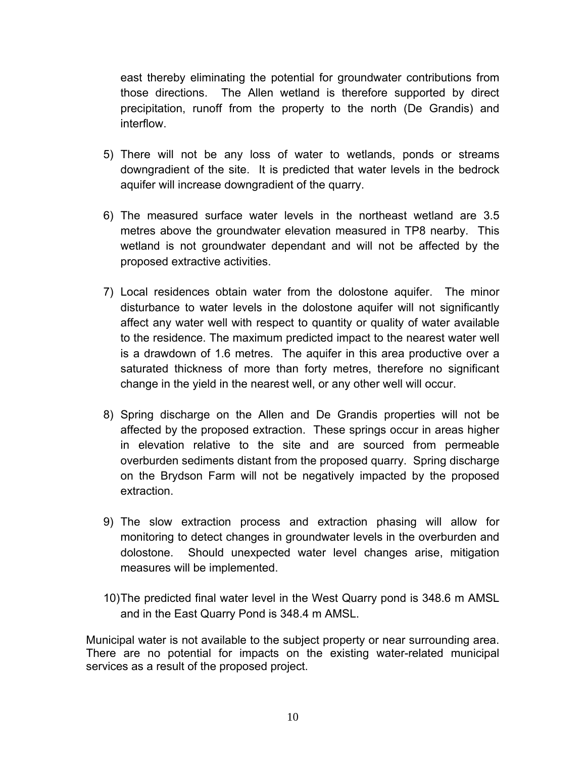east thereby eliminating the potential for groundwater contributions from those directions. The Allen wetland is therefore supported by direct precipitation, runoff from the property to the north (De Grandis) and interflow.

- 5) There will not be any loss of water to wetlands, ponds or streams downgradient of the site. It is predicted that water levels in the bedrock aquifer will increase downgradient of the quarry.
- 6) The measured surface water levels in the northeast wetland are 3.5 metres above the groundwater elevation measured in TP8 nearby. This wetland is not groundwater dependant and will not be affected by the proposed extractive activities.
- 7) Local residences obtain water from the dolostone aquifer. The minor disturbance to water levels in the dolostone aquifer will not significantly affect any water well with respect to quantity or quality of water available to the residence. The maximum predicted impact to the nearest water well is a drawdown of 1.6 metres. The aquifer in this area productive over a saturated thickness of more than forty metres, therefore no significant change in the yield in the nearest well, or any other well will occur.
- 8) Spring discharge on the Allen and De Grandis properties will not be affected by the proposed extraction. These springs occur in areas higher in elevation relative to the site and are sourced from permeable overburden sediments distant from the proposed quarry. Spring discharge on the Brydson Farm will not be negatively impacted by the proposed extraction.
- 9) The slow extraction process and extraction phasing will allow for monitoring to detect changes in groundwater levels in the overburden and dolostone. Should unexpected water level changes arise, mitigation measures will be implemented.
- 10) The predicted final water level in the West Quarry pond is 348.6 m AMSL and in the East Quarry Pond is 348.4 m AMSL.

Municipal water is not available to the subject property or near surrounding area. There are no potential for impacts on the existing water-related municipal services as a result of the proposed project.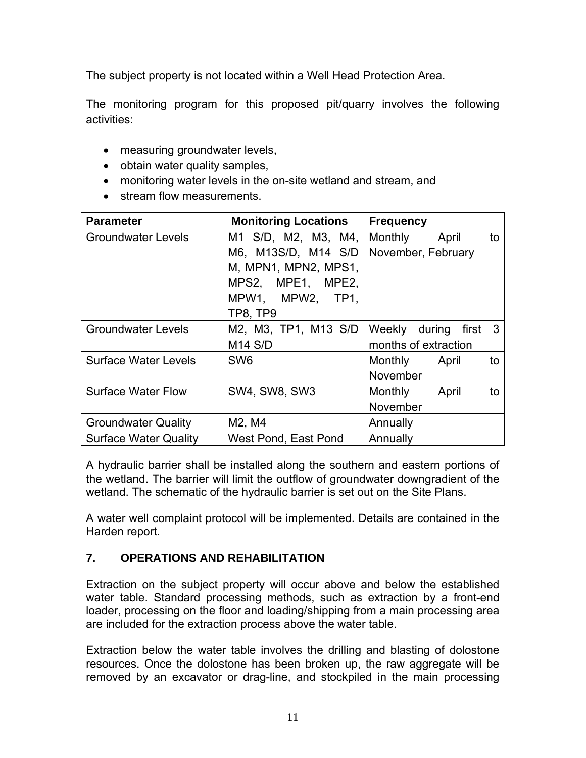The subject property is not located within a Well Head Protection Area.

The monitoring program for this proposed pit/quarry involves the following activities:

- measuring groundwater levels,
- obtain water quality samples,
- monitoring water levels in the on-site wetland and stream, and
- stream flow measurements.

| <b>Parameter</b>             | <b>Monitoring Locations</b> | <b>Frequency</b>       |
|------------------------------|-----------------------------|------------------------|
| <b>Groundwater Levels</b>    | M1 S/D, M2, M3, M4,         | Monthly April<br>to    |
|                              | M6, M13S/D, M14 S/D         | November, February     |
|                              | M, MPN1, MPN2, MPS1,        |                        |
|                              | MPS2, MPE1, MPE2,           |                        |
|                              | MPW1, MPW2, TP1,            |                        |
|                              | TP8, TP9                    |                        |
| <b>Groundwater Levels</b>    | M2, M3, TP1, M13 S/D        | Weekly during first 3  |
|                              | <b>M14 S/D</b>              | months of extraction   |
| <b>Surface Water Levels</b>  | SW <sub>6</sub>             | Monthly April<br>to    |
|                              |                             | November               |
| <b>Surface Water Flow</b>    | SW4, SW8, SW3               | Monthly<br>April<br>to |
|                              |                             | November               |
| <b>Groundwater Quality</b>   | M2, M4                      | Annually               |
| <b>Surface Water Quality</b> | West Pond, East Pond        | Annually               |

A hydraulic barrier shall be installed along the southern and eastern portions of the wetland. The barrier will limit the outflow of groundwater downgradient of the wetland. The schematic of the hydraulic barrier is set out on the Site Plans.

A water well complaint protocol will be implemented. Details are contained in the Harden report.

# **7. OPERATIONS AND REHABILITATION**

Extraction on the subject property will occur above and below the established water table. Standard processing methods, such as extraction by a front-end loader, processing on the floor and loading/shipping from a main processing area are included for the extraction process above the water table.

Extraction below the water table involves the drilling and blasting of dolostone resources. Once the dolostone has been broken up, the raw aggregate will be removed by an excavator or drag-line, and stockpiled in the main processing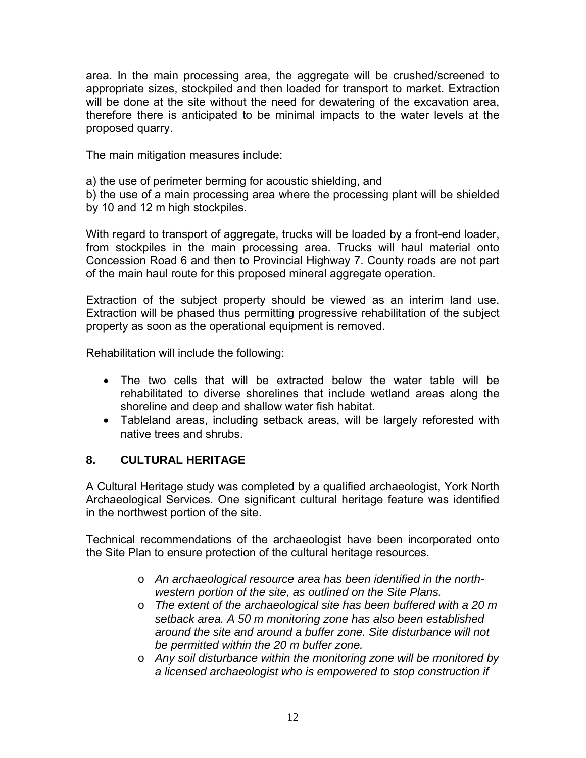area. In the main processing area, the aggregate will be crushed/screened to appropriate sizes, stockpiled and then loaded for transport to market. Extraction will be done at the site without the need for dewatering of the excavation area, therefore there is anticipated to be minimal impacts to the water levels at the proposed quarry.

The main mitigation measures include:

a) the use of perimeter berming for acoustic shielding, and

b) the use of a main processing area where the processing plant will be shielded by 10 and 12 m high stockpiles.

With regard to transport of aggregate, trucks will be loaded by a front-end loader, from stockpiles in the main processing area. Trucks will haul material onto Concession Road 6 and then to Provincial Highway 7. County roads are not part of the main haul route for this proposed mineral aggregate operation.

Extraction of the subject property should be viewed as an interim land use. Extraction will be phased thus permitting progressive rehabilitation of the subject property as soon as the operational equipment is removed.

Rehabilitation will include the following:

- The two cells that will be extracted below the water table will be rehabilitated to diverse shorelines that include wetland areas along the shoreline and deep and shallow water fish habitat.
- Tableland areas, including setback areas, will be largely reforested with native trees and shrubs.

# **8. CULTURAL HERITAGE**

A Cultural Heritage study was completed by a qualified archaeologist, York North Archaeological Services. One significant cultural heritage feature was identified in the northwest portion of the site.

Technical recommendations of the archaeologist have been incorporated onto the Site Plan to ensure protection of the cultural heritage resources.

- o *An archaeological resource area has been identified in the northwestern portion of the site, as outlined on the Site Plans.*
- o *The extent of the archaeological site has been buffered with a 20 m setback area. A 50 m monitoring zone has also been established around the site and around a buffer zone. Site disturbance will not be permitted within the 20 m buffer zone.*
- o *Any soil disturbance within the monitoring zone will be monitored by a licensed archaeologist who is empowered to stop construction if*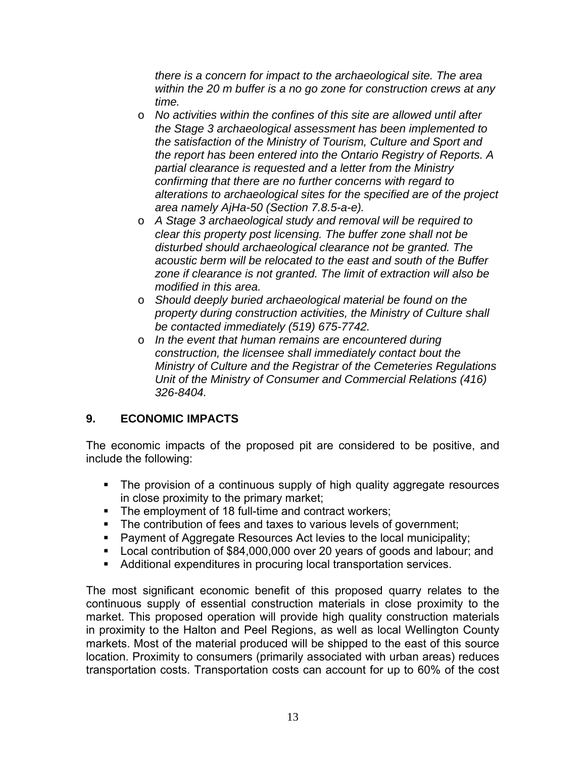*there is a concern for impact to the archaeological site. The area within the 20 m buffer is a no go zone for construction crews at any time.* 

- o *No activities within the confines of this site are allowed until after the Stage 3 archaeological assessment has been implemented to the satisfaction of the Ministry of Tourism, Culture and Sport and the report has been entered into the Ontario Registry of Reports. A partial clearance is requested and a letter from the Ministry confirming that there are no further concerns with regard to alterations to archaeological sites for the specified are of the project area namely AjHa-50 (Section 7.8.5-a-e).*
- o *A Stage 3 archaeological study and removal will be required to clear this property post licensing. The buffer zone shall not be disturbed should archaeological clearance not be granted. The acoustic berm will be relocated to the east and south of the Buffer zone if clearance is not granted. The limit of extraction will also be modified in this area.*
- o *Should deeply buried archaeological material be found on the property during construction activities, the Ministry of Culture shall be contacted immediately (519) 675-7742.*
- o *In the event that human remains are encountered during construction, the licensee shall immediately contact bout the Ministry of Culture and the Registrar of the Cemeteries Regulations Unit of the Ministry of Consumer and Commercial Relations (416) 326-8404.*

# **9. ECONOMIC IMPACTS**

The economic impacts of the proposed pit are considered to be positive, and include the following:

- The provision of a continuous supply of high quality aggregate resources in close proximity to the primary market;
- The employment of 18 full-time and contract workers;
- The contribution of fees and taxes to various levels of government;
- **Payment of Aggregate Resources Act levies to the local municipality;**
- Local contribution of \$84,000,000 over 20 years of goods and labour; and
- Additional expenditures in procuring local transportation services.

The most significant economic benefit of this proposed quarry relates to the continuous supply of essential construction materials in close proximity to the market. This proposed operation will provide high quality construction materials in proximity to the Halton and Peel Regions, as well as local Wellington County markets. Most of the material produced will be shipped to the east of this source location. Proximity to consumers (primarily associated with urban areas) reduces transportation costs. Transportation costs can account for up to 60% of the cost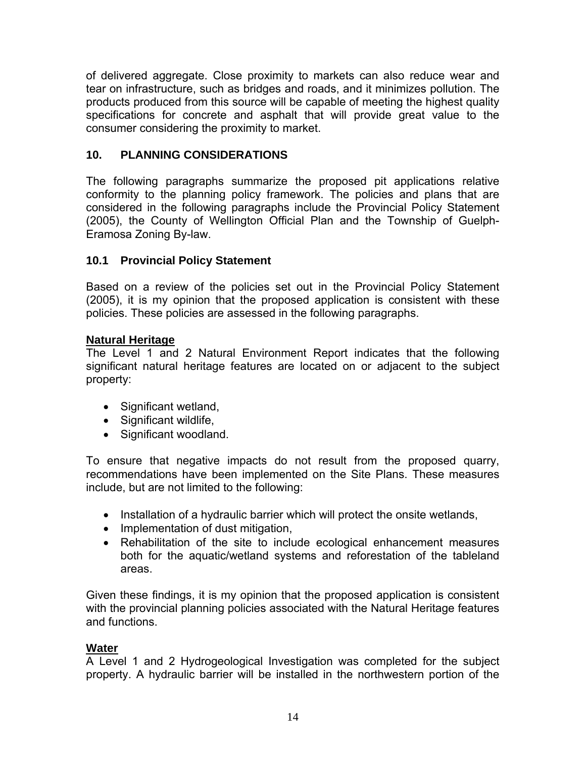of delivered aggregate. Close proximity to markets can also reduce wear and tear on infrastructure, such as bridges and roads, and it minimizes pollution. The products produced from this source will be capable of meeting the highest quality specifications for concrete and asphalt that will provide great value to the consumer considering the proximity to market.

# **10. PLANNING CONSIDERATIONS**

The following paragraphs summarize the proposed pit applications relative conformity to the planning policy framework. The policies and plans that are considered in the following paragraphs include the Provincial Policy Statement (2005), the County of Wellington Official Plan and the Township of Guelph-Eramosa Zoning By-law.

# **10.1 Provincial Policy Statement**

Based on a review of the policies set out in the Provincial Policy Statement (2005), it is my opinion that the proposed application is consistent with these policies. These policies are assessed in the following paragraphs.

## **Natural Heritage**

The Level 1 and 2 Natural Environment Report indicates that the following significant natural heritage features are located on or adjacent to the subject property:

- Significant wetland,
- Significant wildlife,
- Significant woodland.

To ensure that negative impacts do not result from the proposed quarry, recommendations have been implemented on the Site Plans. These measures include, but are not limited to the following:

- Installation of a hydraulic barrier which will protect the onsite wetlands,
- Implementation of dust mitigation,
- Rehabilitation of the site to include ecological enhancement measures both for the aquatic/wetland systems and reforestation of the tableland areas.

Given these findings, it is my opinion that the proposed application is consistent with the provincial planning policies associated with the Natural Heritage features and functions.

#### **Water**

A Level 1 and 2 Hydrogeological Investigation was completed for the subject property. A hydraulic barrier will be installed in the northwestern portion of the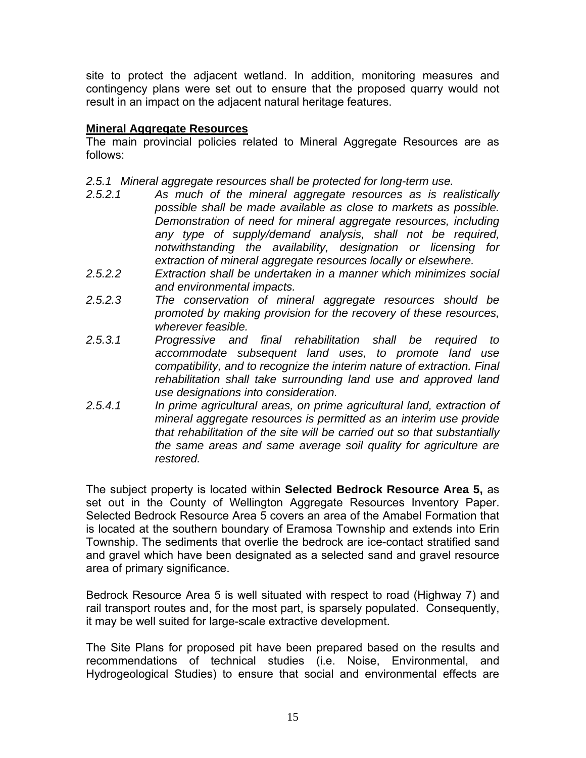site to protect the adjacent wetland. In addition, monitoring measures and contingency plans were set out to ensure that the proposed quarry would not result in an impact on the adjacent natural heritage features.

#### **Mineral Aggregate Resources**

The main provincial policies related to Mineral Aggregate Resources are as follows:

- *2.5.1 Mineral aggregate resources shall be protected for long-term use.*
- *2.5.2.1 As much of the mineral aggregate resources as is realistically possible shall be made available as close to markets as possible. Demonstration of need for mineral aggregate resources, including any type of supply/demand analysis, shall not be required, notwithstanding the availability, designation or licensing for extraction of mineral aggregate resources locally or elsewhere.*
- *2.5.2.2 Extraction shall be undertaken in a manner which minimizes social and environmental impacts.*
- *2.5.2.3 The conservation of mineral aggregate resources should be promoted by making provision for the recovery of these resources, wherever feasible.*
- *2.5.3.1 Progressive and final rehabilitation shall be required to accommodate subsequent land uses, to promote land use compatibility, and to recognize the interim nature of extraction. Final rehabilitation shall take surrounding land use and approved land use designations into consideration.*
- *2.5.4.1 In prime agricultural areas, on prime agricultural land, extraction of mineral aggregate resources is permitted as an interim use provide that rehabilitation of the site will be carried out so that substantially the same areas and same average soil quality for agriculture are restored.*

The subject property is located within **Selected Bedrock Resource Area 5,** as set out in the County of Wellington Aggregate Resources Inventory Paper. Selected Bedrock Resource Area 5 covers an area of the Amabel Formation that is located at the southern boundary of Eramosa Township and extends into Erin Township. The sediments that overlie the bedrock are ice-contact stratified sand and gravel which have been designated as a selected sand and gravel resource area of primary significance.

Bedrock Resource Area 5 is well situated with respect to road (Highway 7) and rail transport routes and, for the most part, is sparsely populated. Consequently, it may be well suited for large-scale extractive development.

The Site Plans for proposed pit have been prepared based on the results and recommendations of technical studies (i.e. Noise, Environmental, and Hydrogeological Studies) to ensure that social and environmental effects are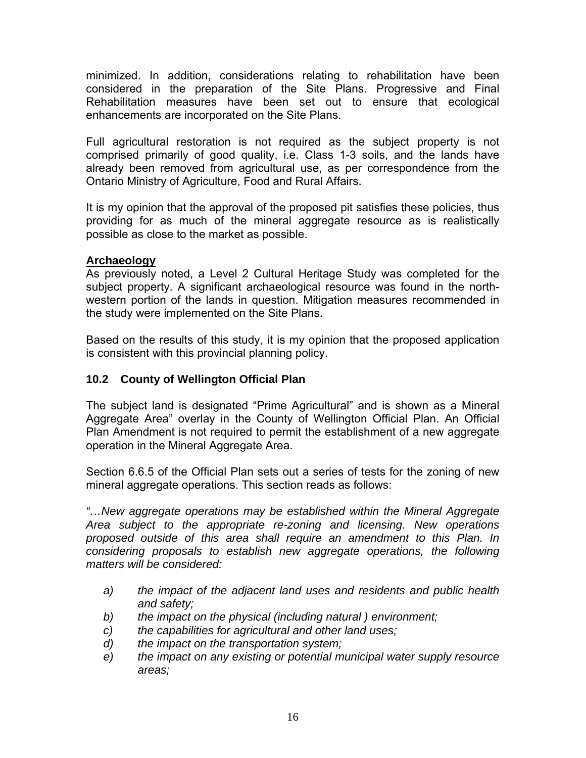minimized. In addition, considerations relating to rehabilitation have been considered in the preparation of the Site Plans. Progressive and Final Rehabilitation measures have been set out to ensure that ecological enhancements are incorporated on the Site Plans.

Full agricultural restoration is not required as the subject property is not comprised primarily of good quality, i.e. Class 1-3 soils, and the lands have already been removed from agricultural use, as per correspondence from the Ontario Ministry of Agriculture, Food and Rural Affairs.

It is my opinion that the approval of the proposed pit satisfies these policies, thus providing for as much of the mineral aggregate resource as is realistically possible as close to the market as possible.

## **Archaeology**

As previously noted, a Level 2 Cultural Heritage Study was completed for the subject property. A significant archaeological resource was found in the northwestern portion of the lands in question. Mitigation measures recommended in the study were implemented on the Site Plans.

Based on the results of this study, it is my opinion that the proposed application is consistent with this provincial planning policy.

# **10.2 County of Wellington Official Plan**

The subject land is designated "Prime Agricultural" and is shown as a Mineral Aggregate Area" overlay in the County of Wellington Official Plan. An Official Plan Amendment is not required to permit the establishment of a new aggregate operation in the Mineral Aggregate Area.

Section 6.6.5 of the Official Plan sets out a series of tests for the zoning of new mineral aggregate operations. This section reads as follows:

*"…New aggregate operations may be established within the Mineral Aggregate Area subject to the appropriate re-zoning and licensing. New operations proposed outside of this area shall require an amendment to this Plan. In considering proposals to establish new aggregate operations, the following matters will be considered:* 

- *a) the impact of the adjacent land uses and residents and public health and safety;*
- *b) the impact on the physical (including natural ) environment;*
- *c) the capabilities for agricultural and other land uses;*
- *d) the impact on the transportation system;*
- *e) the impact on any existing or potential municipal water supply resource areas;*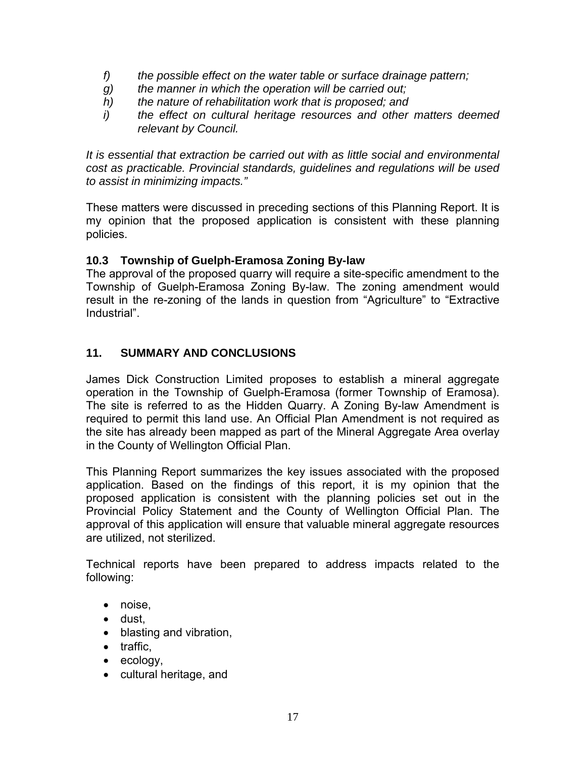- *f) the possible effect on the water table or surface drainage pattern;*
- *g) the manner in which the operation will be carried out;*
- *h) the nature of rehabilitation work that is proposed; and*
- *i) the effect on cultural heritage resources and other matters deemed relevant by Council.*

*It is essential that extraction be carried out with as little social and environmental cost as practicable. Provincial standards, guidelines and regulations will be used to assist in minimizing impacts."* 

These matters were discussed in preceding sections of this Planning Report. It is my opinion that the proposed application is consistent with these planning policies.

## **10.3 Township of Guelph-Eramosa Zoning By-law**

The approval of the proposed quarry will require a site-specific amendment to the Township of Guelph-Eramosa Zoning By-law. The zoning amendment would result in the re-zoning of the lands in question from "Agriculture" to "Extractive Industrial".

# **11. SUMMARY AND CONCLUSIONS**

James Dick Construction Limited proposes to establish a mineral aggregate operation in the Township of Guelph-Eramosa (former Township of Eramosa). The site is referred to as the Hidden Quarry. A Zoning By-law Amendment is required to permit this land use. An Official Plan Amendment is not required as the site has already been mapped as part of the Mineral Aggregate Area overlay in the County of Wellington Official Plan.

This Planning Report summarizes the key issues associated with the proposed application. Based on the findings of this report, it is my opinion that the proposed application is consistent with the planning policies set out in the Provincial Policy Statement and the County of Wellington Official Plan. The approval of this application will ensure that valuable mineral aggregate resources are utilized, not sterilized.

Technical reports have been prepared to address impacts related to the following:

- noise,
- dust.
- blasting and vibration,
- traffic.
- ecology,
- cultural heritage, and